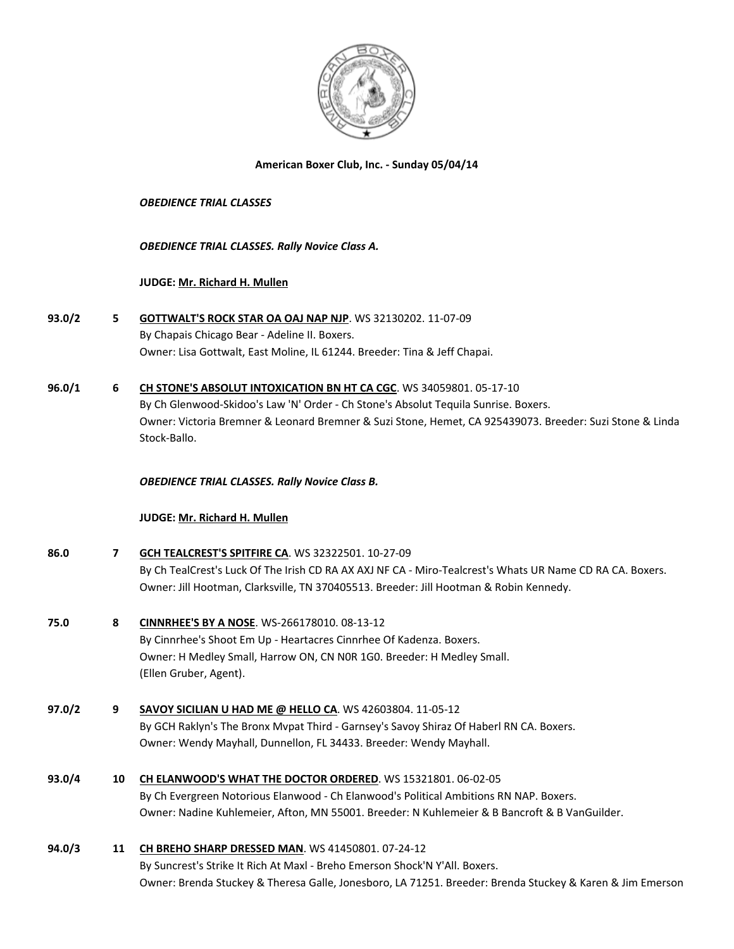

#### **American Boxer Club, Inc. - Sunday 05/04/14**

#### *OBEDIENCE TRIAL CLASSES*

### *OBEDIENCE TRIAL CLASSES. Rally Novice Class A.*

### **JUDGE: [Mr. Richard H. Mullen](http://www.infodog.com/judges/3052/juddat.htm)**

- **93.0/2 5 [GOTTWALT'S ROCK STAR OA OAJ NAP NJP](http://www.infodog.com/files/bdogrsl1.prg;makc=WS%2032130202;mdog=Gottwalt_s_Rock_Star_OA_OAJ_NAP_NJP;wins=all)**. WS 32130202. 11-07-09 By Chapais Chicago Bear - Adeline II. Boxers. Owner: Lisa Gottwalt, East Moline, IL 61244. Breeder: Tina & Jeff Chapai.
- **96.0/1 6 [CH STONE'S ABSOLUT INTOXICATION BN HT CA CGC](http://www.infodog.com/files/bdogrsl1.prg;makc=WS%2034059801;mdog=Ch_Stone_s_Absolut_Intoxication_BN_HT_CA_CGC;wins=all)**. WS 34059801. 05-17-10 By Ch Glenwood-Skidoo's Law 'N' Order - Ch Stone's Absolut Tequila Sunrise. Boxers. Owner: Victoria Bremner & Leonard Bremner & Suzi Stone, Hemet, CA 925439073. Breeder: Suzi Stone & Linda Stock-Ballo.

## *OBEDIENCE TRIAL CLASSES. Rally Novice Class B.*

#### **JUDGE: [Mr. Richard H. Mullen](http://www.infodog.com/judges/3052/juddat.htm)**

| 86.0<br>7 |    | <b>GCH TEALCREST'S SPITFIRE CA. WS 32322501. 10-27-09</b>                                                 |
|-----------|----|-----------------------------------------------------------------------------------------------------------|
|           |    | By Ch TealCrest's Luck Of The Irish CD RA AX AXJ NF CA - Miro-Tealcrest's Whats UR Name CD RA CA. Boxers. |
|           |    | Owner: Jill Hootman, Clarksville, TN 370405513. Breeder: Jill Hootman & Robin Kennedy.                    |
| 75.0      | 8  | CINNRHEE'S BY A NOSE. WS-266178010. 08-13-12                                                              |
|           |    | By Cinnrhee's Shoot Em Up - Heartacres Cinnrhee Of Kadenza. Boxers.                                       |
|           |    | Owner: H Medley Small, Harrow ON, CN NOR 1GO. Breeder: H Medley Small.                                    |
|           |    | (Ellen Gruber, Agent).                                                                                    |
| 97.0/2    | 9  | SAVOY SICILIAN U HAD ME @ HELLO CA. WS 42603804. 11-05-12                                                 |
|           |    | By GCH Raklyn's The Bronx Mypat Third - Garnsey's Savoy Shiraz Of Haberl RN CA. Boxers.                   |
|           |    | Owner: Wendy Mayhall, Dunnellon, FL 34433. Breeder: Wendy Mayhall.                                        |
| 93.0/4    | 10 | CH ELANWOOD'S WHAT THE DOCTOR ORDERED. WS 15321801. 06-02-05                                              |
|           |    | By Ch Evergreen Notorious Elanwood - Ch Elanwood's Political Ambitions RN NAP. Boxers.                    |
|           |    | Owner: Nadine Kuhlemeier, Afton, MN 55001. Breeder: N Kuhlemeier & B Bancroft & B VanGuilder.             |
| 94.0/3    | 11 | CH BREHO SHARP DRESSED MAN. WS 41450801. 07-24-12                                                         |
|           |    | By Suncrest's Strike It Rich At Maxl - Breho Emerson Shock'N Y'All. Boxers.                               |
|           |    | Owner: Brenda Stuckey & Theresa Galle, Jonesboro, LA 71251. Breeder: Brenda Stuckey & Karen & Jim Emerson |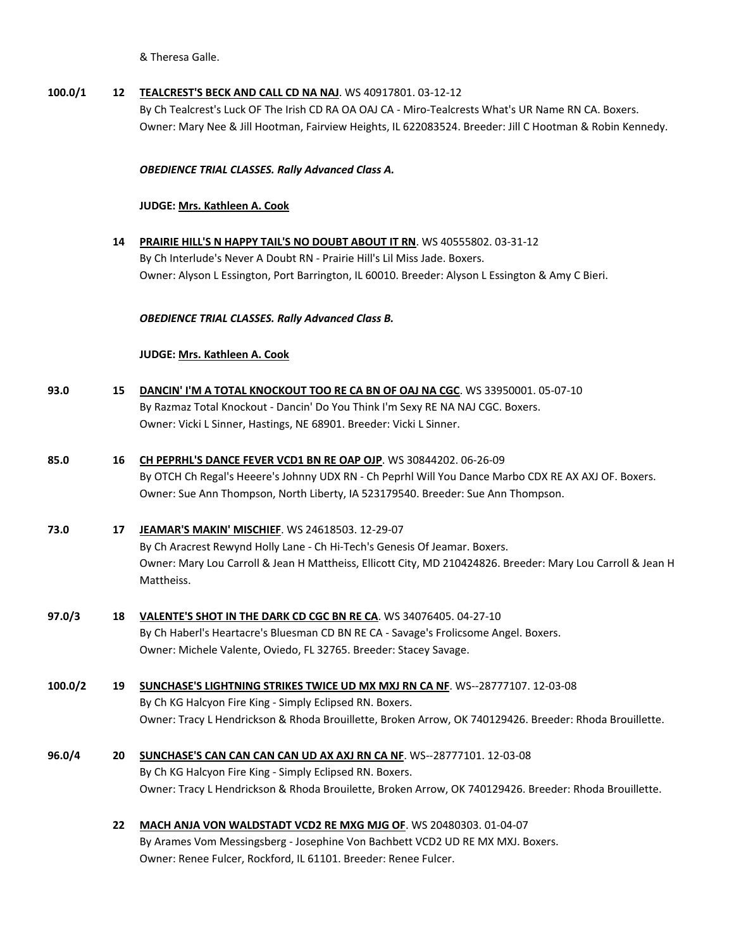& Theresa Galle.

## **100.0/1 12 [TEALCREST'S BECK AND CALL CD NA NAJ](http://www.infodog.com/files/bdogrsl1.prg;makc=WS%2040917801;mdog=Tealcrest_s_Beck_And_Call_CD_NA_NAJ;wins=all)**. WS 40917801. 03-12-12

By Ch Tealcrest's Luck OF The Irish CD RA OA OAJ CA - Miro-Tealcrests What's UR Name RN CA. Boxers. Owner: Mary Nee & Jill Hootman, Fairview Heights, IL 622083524. Breeder: Jill C Hootman & Robin Kennedy.

#### *OBEDIENCE TRIAL CLASSES. Rally Advanced Class A.*

#### **JUDGE: [Mrs. Kathleen A. Cook](http://www.infodog.com/judges/37193/juddat.htm)**

**14 [PRAIRIE HILL'S N HAPPY TAIL'S NO DOUBT ABOUT IT RN](http://www.infodog.com/files/bdogrsl1.prg;makc=WS%2040555802;mdog=Prairie_Hill_s_N_Happy_Tail_s_No_Doubt_About_It_RN;wins=all)**. WS 40555802. 03-31-12 By Ch Interlude's Never A Doubt RN - Prairie Hill's Lil Miss Jade. Boxers. Owner: Alyson L Essington, Port Barrington, IL 60010. Breeder: Alyson L Essington & Amy C Bieri.

### *OBEDIENCE TRIAL CLASSES. Rally Advanced Class B.*

### **JUDGE: [Mrs. Kathleen A. Cook](http://www.infodog.com/judges/37193/juddat.htm)**

| 93.0 | DANCIN' I'M A TOTAL KNOCKOUT TOO RE CA BN OF OAJ NA CGC. WS 33950001. 05-07-10  |
|------|---------------------------------------------------------------------------------|
|      | By Razmaz Total Knockout - Dancin' Do You Think I'm Sexy RE NA NAJ CGC. Boxers. |
|      | Owner: Vicki L Sinner, Hastings, NE 68901. Breeder: Vicki L Sinner.             |

# **85.0 16 [CH PEPRHL'S DANCE FEVER VCD1 BN RE OAP OJP](http://www.infodog.com/files/bdogrsl1.prg;makc=WS%2030844202;mdog=Ch_Peprhl_s_Dance_Fever_VCD1_BN_RE_OAP_OJP;wins=all)**. WS 30844202. 06-26-09 By OTCH Ch Regal's Heeere's Johnny UDX RN - Ch Peprhl Will You Dance Marbo CDX RE AX AXJ OF. Boxers.

Owner: Sue Ann Thompson, North Liberty, IA 523179540. Breeder: Sue Ann Thompson.

# **73.0 17 [JEAMAR'S MAKIN' MISCHIEF](http://www.infodog.com/files/bdogrsl1.prg;makc=WS%2024618503;mdog=Jeamar_s_Makin__Mischief;wins=all)**. WS 24618503. 12-29-07 By Ch Aracrest Rewynd Holly Lane - Ch Hi-Tech's Genesis Of Jeamar. Boxers. Owner: Mary Lou Carroll & Jean H Mattheiss, Ellicott City, MD 210424826. Breeder: Mary Lou Carroll & Jean H Mattheiss.

- **97.0/3 18 [VALENTE'S SHOT IN THE DARK CD CGC BN RE CA](http://www.infodog.com/files/bdogrsl1.prg;makc=WS%2034076405;mdog=Valente_s_Shot_In_The_Dark_CD_CGC_BN_RE_CA;wins=all)**. WS 34076405. 04-27-10 By Ch Haberl's Heartacre's Bluesman CD BN RE CA - Savage's Frolicsome Angel. Boxers. Owner: Michele Valente, Oviedo, FL 32765. Breeder: Stacey Savage.
- **100.0/2 19 [SUNCHASE'S LIGHTNING STRIKES TWICE UD MX MXJ RN CA NF](http://www.infodog.com/files/bdogrsl1.prg;makc=WS--28777107;mdog=Sunchase_s_Lightning_Strikes_Twice_UD_MX_MXJ_RN_CA_NF;wins=all)**. WS--28777107. 12-03-08 By Ch KG Halcyon Fire King - Simply Eclipsed RN. Boxers. Owner: Tracy L Hendrickson & Rhoda Brouillette, Broken Arrow, OK 740129426. Breeder: Rhoda Brouillette.
- **96.0/4 20 [SUNCHASE'S CAN CAN CAN CAN UD AX AXJ RN CA NF](http://www.infodog.com/files/bdogrsl1.prg;makc=WS--28777101;mdog=Sunchase_s_Can_Can_Can_Can_UD_AX_AXJ_RN_CA_NF;wins=all)**. WS--28777101. 12-03-08 By Ch KG Halcyon Fire King - Simply Eclipsed RN. Boxers. Owner: Tracy L Hendrickson & Rhoda Brouilette, Broken Arrow, OK 740129426. Breeder: Rhoda Brouillette.
	- **22 [MACH ANJA VON WALDSTADT VCD2 RE MXG MJG OF](http://www.infodog.com/files/bdogrsl1.prg;makc=WS%2020480303;mdog=MACH_Anja_Von_Waldstadt_VCD2_RE_MXG_MJG_OF;wins=all)**. WS 20480303. 01-04-07 By Arames Vom Messingsberg - Josephine Von Bachbett VCD2 UD RE MX MXJ. Boxers. Owner: Renee Fulcer, Rockford, IL 61101. Breeder: Renee Fulcer.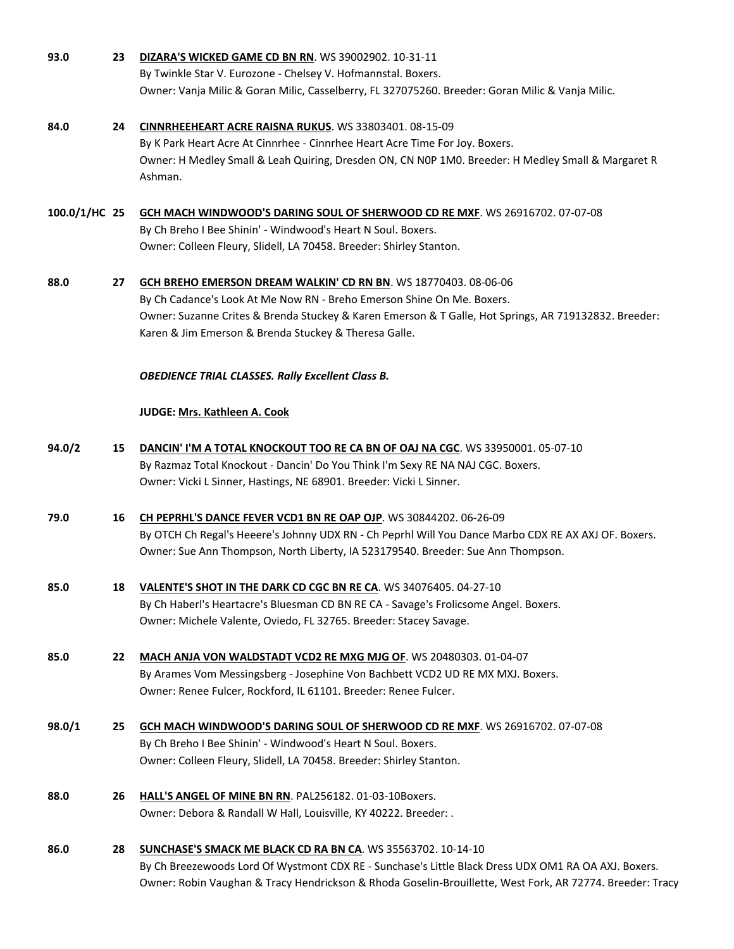- **93.0 23 [DIZARA'S WICKED GAME CD BN RN](http://www.infodog.com/files/bdogrsl1.prg;makc=WS%2039002902;mdog=Dizara_s_Wicked_Game_CD_BN_RN;wins=all)**. WS 39002902. 10-31-11 By Twinkle Star V. Eurozone - Chelsey V. Hofmannstal. Boxers. Owner: Vanja Milic & Goran Milic, Casselberry, FL 327075260. Breeder: Goran Milic & Vanja Milic.
- **84.0 24 [CINNRHEEHEART ACRE RAISNA RUKUS](http://www.infodog.com/files/bdogrsl1.prg;makc=WS%2033803401;mdog=Cinnrheeheart_Acre_Raisna_Rukus;wins=all)**. WS 33803401. 08-15-09 By K Park Heart Acre At Cinnrhee - Cinnrhee Heart Acre Time For Joy. Boxers. Owner: H Medley Small & Leah Quiring, Dresden ON, CN N0P 1M0. Breeder: H Medley Small & Margaret R Ashman.
- **100.0/1/HC 25 [GCH MACH WINDWOOD'S DARING SOUL OF SHERWOOD CD RE MXF](http://www.infodog.com/files/bdogrsl1.prg;makc=WS%2026916702;mdog=GCH_MACH_Windwood_s_Daring_Soul_Of_Sherwood_CD_RE_MXF;wins=all)**. WS 26916702. 07-07-08 By Ch Breho I Bee Shinin' - Windwood's Heart N Soul. Boxers. Owner: Colleen Fleury, Slidell, LA 70458. Breeder: Shirley Stanton.
- **88.0 27 [GCH BREHO EMERSON DREAM WALKIN' CD RN BN](http://www.infodog.com/files/bdogrsl1.prg;makc=WS%2018770403;mdog=GCH_Breho_Emerson_Dream_Walkin__CD_RN_BN;wins=all)**. WS 18770403. 08-06-06 By Ch Cadance's Look At Me Now RN - Breho Emerson Shine On Me. Boxers. Owner: Suzanne Crites & Brenda Stuckey & Karen Emerson & T Galle, Hot Springs, AR 719132832. Breeder: Karen & Jim Emerson & Brenda Stuckey & Theresa Galle.

#### *OBEDIENCE TRIAL CLASSES. Rally Excellent Class B.*

#### **JUDGE: [Mrs. Kathleen A. Cook](http://www.infodog.com/judges/37193/juddat.htm)**

- **94.0/2 15 [DANCIN' I'M A TOTAL KNOCKOUT TOO RE CA BN OF OAJ NA CGC](http://www.infodog.com/files/bdogrsl1.prg;makc=WS%2033950001;mdog=Dancin__I_m_A_Total_Knockout_Too_RE_CA_BN_OF_OAJ_NA_CGC;wins=all)**. WS 33950001. 05-07-10 By Razmaz Total Knockout - Dancin' Do You Think I'm Sexy RE NA NAJ CGC. Boxers. Owner: Vicki L Sinner, Hastings, NE 68901. Breeder: Vicki L Sinner.
- **79.0 16 [CH PEPRHL'S DANCE FEVER VCD1 BN RE OAP OJP](http://www.infodog.com/files/bdogrsl1.prg;makc=WS%2030844202;mdog=Ch_Peprhl_s_Dance_Fever_VCD1_BN_RE_OAP_OJP;wins=all)**. WS 30844202. 06-26-09 By OTCH Ch Regal's Heeere's Johnny UDX RN - Ch Peprhl Will You Dance Marbo CDX RE AX AXJ OF. Boxers. Owner: Sue Ann Thompson, North Liberty, IA 523179540. Breeder: Sue Ann Thompson.
- **85.0 18 [VALENTE'S SHOT IN THE DARK CD CGC BN RE CA](http://www.infodog.com/files/bdogrsl1.prg;makc=WS%2034076405;mdog=Valente_s_Shot_In_The_Dark_CD_CGC_BN_RE_CA;wins=all)**. WS 34076405. 04-27-10 By Ch Haberl's Heartacre's Bluesman CD BN RE CA - Savage's Frolicsome Angel. Boxers. Owner: Michele Valente, Oviedo, FL 32765. Breeder: Stacey Savage.
- **85.0 22 [MACH ANJA VON WALDSTADT VCD2 RE MXG MJG OF](http://www.infodog.com/files/bdogrsl1.prg;makc=WS%2020480303;mdog=MACH_Anja_Von_Waldstadt_VCD2_RE_MXG_MJG_OF;wins=all)**. WS 20480303. 01-04-07 By Arames Vom Messingsberg - Josephine Von Bachbett VCD2 UD RE MX MXJ. Boxers. Owner: Renee Fulcer, Rockford, IL 61101. Breeder: Renee Fulcer.
- **98.0/1 25 [GCH MACH WINDWOOD'S DARING SOUL OF SHERWOOD CD RE MXF](http://www.infodog.com/files/bdogrsl1.prg;makc=WS%2026916702;mdog=GCH_MACH_Windwood_s_Daring_Soul_Of_Sherwood_CD_RE_MXF;wins=all)**. WS 26916702. 07-07-08 By Ch Breho I Bee Shinin' - Windwood's Heart N Soul. Boxers. Owner: Colleen Fleury, Slidell, LA 70458. Breeder: Shirley Stanton.
- **88.0 26 [HALL'S ANGEL OF MINE BN RN](http://www.infodog.com/files/bdogrsl1.prg;makc=PAL256182;mdog=Hall_s_Angel_Of_Mine_BN_RN;wins=all)**. PAL256182. 01-03-10Boxers. Owner: Debora & Randall W Hall, Louisville, KY 40222. Breeder: .
- **86.0 28 [SUNCHASE'S SMACK ME BLACK CD RA BN CA](http://www.infodog.com/files/bdogrsl1.prg;makc=WS%2035563702;mdog=Sunchase_s_Smack_Me_Black_CD_RA_BN_CA;wins=all)**. WS 35563702. 10-14-10 By Ch Breezewoods Lord Of Wystmont CDX RE - Sunchase's Little Black Dress UDX OM1 RA OA AXJ. Boxers. Owner: Robin Vaughan & Tracy Hendrickson & Rhoda Goselin-Brouillette, West Fork, AR 72774. Breeder: Tracy